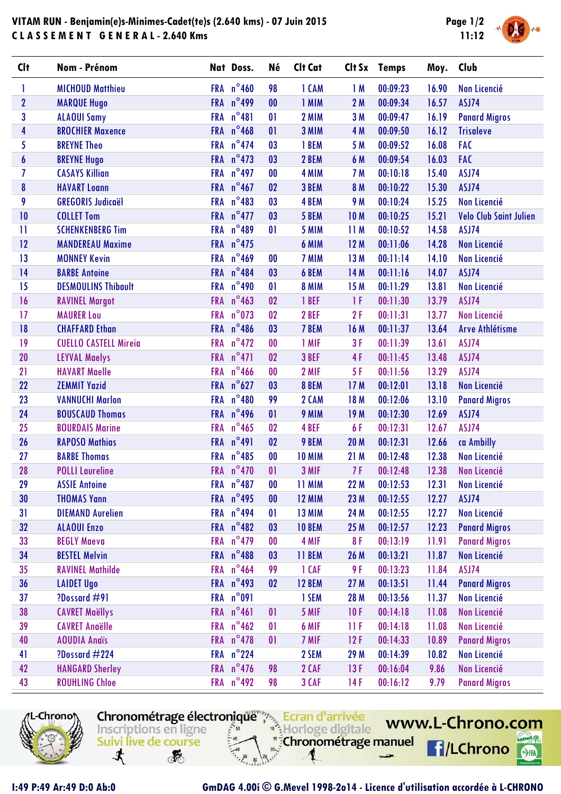## **VITAM RUN - Benjamin(e)s-Minimes-Cadet(te)s (2.640 kms) - 07 Juin 2015 C L A S S E M E N T G E N E R A L - 2.640 Kms**



| <b>Clt</b>   | Nom - Prénom                 |            | Nat Doss.           | <b>Né</b>         | Clt Cat       |                 | Clt Sx Temps | Moy.  | Club                          |
|--------------|------------------------------|------------|---------------------|-------------------|---------------|-----------------|--------------|-------|-------------------------------|
| 1            | <b>MICHOUD Matthieu</b>      |            | FRA $n^{\circ}$ 460 | 98                | 1 CAM         | 1M              | 00:09:23     | 16.90 | <b>Non Licencié</b>           |
| $\mathbf{2}$ | <b>MARQUE Hugo</b>           |            | FRA n°499           | 00                | 1 MIM         | 2M              | 00:09:34     | 16.57 | ASJ74                         |
| 3            | <b>ALAOUI Samy</b>           | <b>FRA</b> | $n^{\circ}481$      | 01                | 2 MIM         | 3M              | 00:09:47     | 16.19 | <b>Panard Migros</b>          |
| 4            | <b>BROCHIER Maxence</b>      | <b>FRA</b> | $n^{\circ}$ 468     | 01                | 3 MIM         | 4 M             | 00:09:50     | 16.12 | <b>Trisaleve</b>              |
| 5            | <b>BREYNE Theo</b>           | <b>FRA</b> | $n^{\circ}474$      | 03                | 1 BEM         | 5 M             | 00:09:52     | 16.08 | FAC                           |
| 6            | <b>BREYNE Hugo</b>           |            | FRA $n^{\circ}$ 473 | 03                | 2 BEM         | 6 M             | 00:09:54     | 16.03 | <b>FAC</b>                    |
| 7            | <b>CASAYS Killian</b>        | <b>FRA</b> | $n^{\circ}$ 497     | $\bf{00}$         | 4 MIM         | <b>7 M</b>      | 00:10:18     | 15.40 | ASJ74                         |
| 8            | <b>HAVART Loann</b>          | <b>FRA</b> | $n^{\circ}$ 467     | 02                | 3 BEM         | <b>8 M</b>      | 00:10:22     | 15.30 | ASJ74                         |
| 9            | <b>GREGORIS Judicaël</b>     | <b>FRA</b> | $n^{\circ}483$      | 03                | 4 BEM         | <b>9 M</b>      | 00:10:24     | 15.25 | <b>Non Licencié</b>           |
| 10           | <b>COLLET Tom</b>            |            | FRA $n^{\circ}477$  | 03                | 5 BEM         | <b>10M</b>      | 00:10:25     | 15.21 | <b>Velo Club Saint Julien</b> |
| $\mathbf{H}$ | <b>SCHENKENBERG Tim</b>      | <b>FRA</b> | $n^{\circ}489$      | 01                | 5 MIM         | 11M             | 00:10:52     | 14.58 | ASJ74                         |
| 12           | <b>MANDEREAU Maxime</b>      | <b>FRA</b> | $n^{\circ}475$      |                   | 6 MIM         | 12M             | 00:11:06     | 14.28 | <b>Non Licencié</b>           |
| 13           | <b>MONNEY Kevin</b>          | <b>FRA</b> | $n^{\circ}$ 469     | $\bf{00}$         | 7 MIM         | 13M             | 00:11:14     | 14.10 | Non Licencié                  |
| 14           | <b>BARBE Antoine</b>         |            | FRA n°484           | 03                | 6 BEM         | 14 M            | 00:11:16     | 14.07 | ASJ74                         |
| 15           | <b>DESMOULINS Thibault</b>   | <b>FRA</b> | $n^{\circ}$ 490     | 01                | <b>8 MIM</b>  | 15 M            | 00:11:29     | 13.81 | <b>Non Licencié</b>           |
| 16           | <b>RAVINEL Margot</b>        | <b>FRA</b> | $n^{\circ}$ 463     | 02                | 1 BEF         | 1F              | 00:11:30     | 13.79 | ASJ74                         |
| 17           | <b>MAURER Lou</b>            | <b>FRA</b> | $n^{\circ}$ 073     | 02                | 2 BEF         | 2F              | 00:11:31     | 13.77 | <b>Non Licencié</b>           |
| 18           | <b>CHAFFARD Ethan</b>        | <b>FRA</b> | $n^{\circ}$ 486     | 03                | 7 BEM         | 16 M            | 00:11:37     | 13.64 | <b>Arve Athlétisme</b>        |
| 19           | <b>CUELLO CASTELL Mireia</b> | <b>FRA</b> | $n^{\circ}472$      | 00                | 1 MIF         | 3F              | 00:11:39     | 13.61 | ASJ74                         |
| 20           | <b>LEYVAL Maelys</b>         | <b>FRA</b> | $n^{\circ}471$      | 02                | 3 BEF         | 4F              | 00:11:45     | 13.48 | ASJ74                         |
| 21           | <b>HAVART Maelle</b>         | <b>FRA</b> | $n^{\circ}$ 466     | 00                | 2 MIF         | 5F              | 00:11:56     | 13.29 | ASJ74                         |
| 22           | <b>ZEMMIT Yazid</b>          | <b>FRA</b> | $n^{\circ}627$      | 03                | 8 BEM         | 17 M            | 00:12:01     | 13.18 | <b>Non Licencié</b>           |
| 23           | <b>VANNUCHI Marlon</b>       | <b>FRA</b> | $n^{\circ}480$      | 99                | 2 CAM         | 18 M            | 00:12:06     | 13.10 | <b>Panard Migros</b>          |
| 24           | <b>BOUSCAUD Thomas</b>       | <b>FRA</b> | $n^{\circ}$ 496     | 01                | 9 MIM         | 19 <sub>M</sub> | 00:12:30     | 12.69 | ASJ74                         |
| 25           | <b>BOURDAIS Marine</b>       | <b>FRA</b> | $n^{\circ}$ 465     | 02                | 4 BEF         | 6F              | 00:12:31     | 12.67 | ASJ74                         |
| 26           | <b>RAPOSO Mathias</b>        | <b>FRA</b> | $n^{\circ}491$      | 02                | 9 BEM         | <b>20 M</b>     | 00:12:31     | 12.66 | ca Ambilly                    |
| 27           | <b>BARBE Thomas</b>          | <b>FRA</b> | $n^{\circ}485$      | 00                | <b>10 MIM</b> | 21 M            | 00:12:48     | 12.38 | Non Licencié                  |
| 28           | <b>POLLI Laureline</b>       | <b>FRA</b> | $n^{\circ}470$      | 01                | 3 MIF         | 7F              | 00:12:48     | 12.38 | <b>Non Licencié</b>           |
| 29           | <b>ASSIE Antoine</b>         |            | FRA n°487           | $\bf{00}$         | 11 MIM        | 22 M            | 00:12:53     | 12.31 | <b>Non Licencié</b>           |
| 30           | <b>THOMAS Yann</b>           |            | FRA $n^{\circ}$ 495 | $\boldsymbol{00}$ | <b>12 MIM</b> | 23 M            | 00:12:55     | 12.27 | ASJ74                         |
| 31           | <b>DIEMAND Aurelien</b>      | <b>FRA</b> | $n^{\circ}$ 494     | $\mathbf{0}$      | <b>13 MIM</b> | 24 M            | 00:12:55     | 12.27 | Non Licencié                  |
| 32           | <b>ALAOUI Enzo</b>           |            | FRA $n^{\circ}482$  | 03                | <b>10 BEM</b> | 25 M            | 00:12:57     | 12.23 | <b>Panard Migros</b>          |
| 33           | <b>BEGLY Maeva</b>           | <b>FRA</b> | $n^{\circ}479$      | 00                | 4 MIF         | 8F              | 00:13:19     | 11.91 | <b>Panard Migros</b>          |
| 34           | <b>BESTEL Melvin</b>         |            | FRA n°488           | 03                | 11 BEM        | 26 M            | 00:13:21     | 11.87 | Non Licencié                  |
| 35           | <b>RAVINEL Mathilde</b>      | <b>FRA</b> | $n^{\circ}$ 464     | 99                | 1 CAF         | 9 F             | 00:13:23     | 11.84 | ASJ74                         |
| 36           | <b>LAIDET Ugo</b>            |            | FRA $n^{\circ}$ 493 | 02                | <b>12 BEM</b> | 27 M            | 00:13:51     | 11.44 | <b>Panard Migros</b>          |
| 37           | ?Dossard #91                 | <b>FRA</b> | $n^{\circ}091$      |                   | 1 SEM         | 28 M            | 00:13:56     | 11.37 | <b>Non Licencié</b>           |
| 38           | <b>CAVRET Maëllys</b>        | <b>FRA</b> | $n^{\circ}461$      | 01                | 5 MIF         | 10F             | 00:14:18     | 11.08 | Non Licencié                  |
| 39           | <b>CAVRET Anaëlle</b>        | <b>FRA</b> | $n^{\circ}$ 462     | 01                | 6 MIF         | 11 F            | 00:14:18     | 11.08 | <b>Non Licencié</b>           |
| 40           | <b>AOUDIA Andis</b>          |            | FRA $n^{\circ}$ 478 | 01                | 7 MIF         | 12F             | 00:14:33     | 10.89 | <b>Panard Migros</b>          |
| 41           | ?Dossard #224                | <b>FRA</b> | $n^{\circ}$ 224     |                   | 2 SEM         | 29 M            | 00:14:39     | 10.82 | Non Licencié                  |
| 42           | <b>HANGARD Sherley</b>       | <b>FRA</b> | $n^{\circ}$ 476     | 98                | 2 CAF         | 13F             | 00:16:04     | 9.86  | Non Licencié                  |
| 43           | <b>ROUHLING Chloe</b>        |            | FRA $n^{\circ}$ 492 | 98                | 3 CAF         | 14 F            | 00:16:12     | 9.79  | <b>Panard Migros</b>          |
|              |                              |            |                     |                   |               |                 |              |       |                               |



Chronométrage électronique Ecran d'arrivée Horloge digitale Inscriptions en ligne  $50$ "<sup>5</sup> Chronométrage manuel Suivi live de course  $\begin{array}{c|c}\n= & 45 & 15 \\
\hline\nz_1 & 40 & 20 \\
z_2 & 35 & 30 \\
z_3 & z_4 & 1\n\end{array}$  $\mathbf{\mathbf{t}}$ 弱 ø

www.L-Chrono.com anel .

**F**/LChrono

SHA